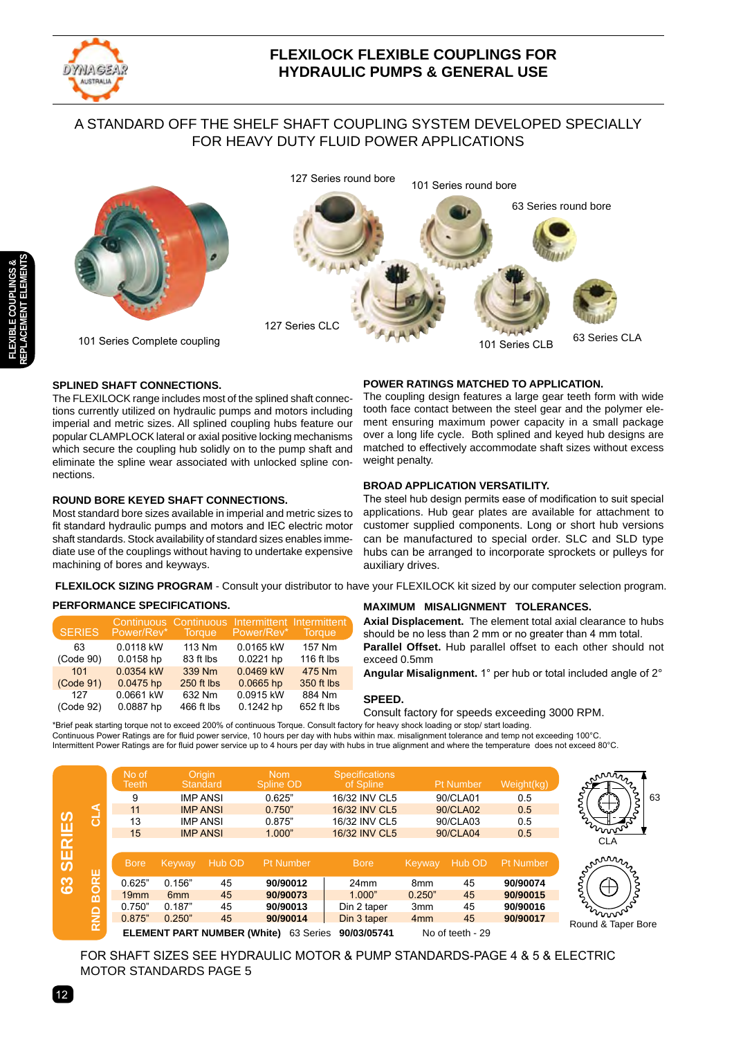

# **FLEXILOCK FLEXIBLE COUPLINGS FOR HYDRAULIC PUMPS & GENERAL USE**

# A STANDARD OFF THE SHELF SHAFT COUPLING SYSTEM DEVELOPED SPECIALLY FOR HEAVY DUTY FLUID POWER APPLICATIONS



127 Series round bore 101 Series round bore



101 Series Complete coupling

# **SPLINED SHAFT CONNECTIONS.**

The FLEXILOCK range includes most of the splined shaft connections currently utilized on hydraulic pumps and motors including imperial and metric sizes. All splined coupling hubs feature our popular CLAMPLOCK lateral or axial positive locking mechanisms which secure the coupling hub solidly on to the pump shaft and eliminate the spline wear associated with unlocked spline connections.

### **ROUND BORE KEYED SHAFT CONNECTIONS.**

Most standard bore sizes available in imperial and metric sizes to fit standard hydraulic pumps and motors and IEC electric motor shaft standards. Stock availability of standard sizes enables immediate use of the couplings without having to undertake expensive machining of bores and keyways.

# **POWER RATINGS MATCHED TO APPLICATION.**

The coupling design features a large gear teeth form with wide tooth face contact between the steel gear and the polymer element ensuring maximum power capacity in a small package over a long life cycle. Both splined and keyed hub designs are matched to effectively accommodate shaft sizes without excess weight penalty.

# **BROAD APPLICATION VERSATILITY.**

The steel hub design permits ease of modification to suit special applications. Hub gear plates are available for attachment to customer supplied components. Long or short hub versions can be manufactured to special order. SLC and SLD type hubs can be arranged to incorporate sprockets or pulleys for auxiliary drives.

**FLEXILOCK SIZING PROGRAM** - Consult your distributor to have your FLEXILOCK kit sized by our computer selection program.

# **PERFORMANCE SPECIFICATIONS.**

| <b>SERIES</b>   | Power/Rev*             | <b>Torque</b>       | Continuous Continuous Intermittent Intermittent<br>Power/Rev* | Torque,              |
|-----------------|------------------------|---------------------|---------------------------------------------------------------|----------------------|
| 63<br>(Code 90) | 0.0118 kW<br>0.0158 hp | 113 Nm<br>83 ft lbs | 0.0165 kW<br>0.0221 hp                                        | 157 Nm<br>116 ft lbs |
| 101             | 0.0354 kW              | 339 Nm              | 0.0469 kW                                                     | 475 Nm               |
| (Code 91)       | 0.0475 hp              | 250 ft lbs          | $0.0665$ hp                                                   | 350 ft lbs           |
| 127             | 0.0661 kW              | 632 Nm              | 0.0915 kW                                                     | 884 Nm               |
| (Code 92)       | 0.0887 hp              | 466 ft lbs          | 0.1242 hp                                                     | 652 ft lbs           |

# **MAXIMUM MISALIGNMENT TOLERANCES.**

**Axial Displacement.** The element total axial clearance to hubs should be no less than 2 mm or no greater than 4 mm total. **Parallel Offset.** Hub parallel offset to each other should not

exceed 0.5mm

**Angular Misalignment.** 1° per hub or total included angle of 2°

63

#### **SPEED.**

Consult factory for speeds exceeding 3000 RPM.

\*Brief peak starting torque not to exceed 200% of continuous Torque. Consult factory for heavy shock loading or stop/ start loading. Continuous Power Ratings are for fluid power service, 10 hours per day with hubs within max. misalignment tolerance and temp not exceeding 100°C. Intermittent Power Ratings are for fluid power service up to 4 hours per day with hubs in true alignment and where the temperature does not exceed 80°C.



FOR SHAFT SIZES SEE HYDRAULIC MOTOR & PUMP STANDARDS-PAGE 4 & 5 & ELECTRIC MOTOR STANDARDS PAGE 5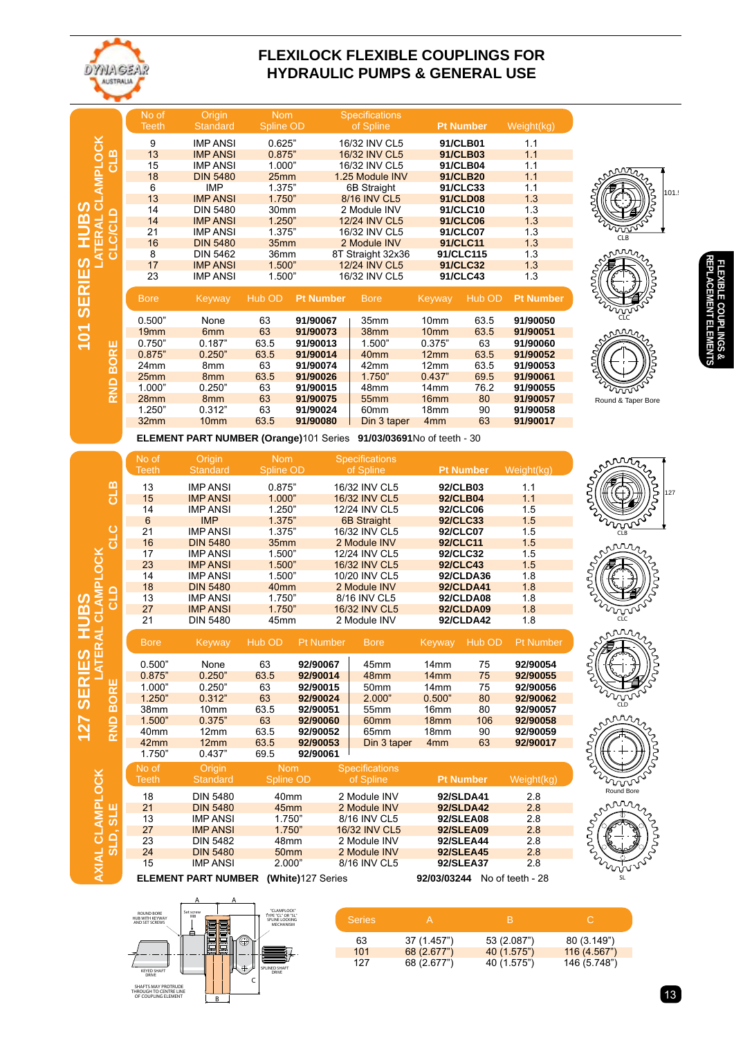

**127 SERIES HUB**

**AXIAL** 

**CLAMPLOC**

**K**

**LATERAL** 

<u>ທ</u>

**CLAMPLOCK** 

# **FLEXILOCK FLEXIBLE COUPLINGS FOR HYDRAULIC PUMPS & GENERAL USE**

|                  |                       | No of<br><b>Teeth</b> | Origin<br><b>Standard</b> | <b>Nom</b><br><b>Spline OD</b> |                  | <b>Specifications</b><br>of Spline |                  | <b>Pt Number</b> | Weight(kg)       |
|------------------|-----------------------|-----------------------|---------------------------|--------------------------------|------------------|------------------------------------|------------------|------------------|------------------|
|                  | <b>AMPLOCK</b><br>CLB | 9                     | <b>IMP ANSI</b>           | 0.625"                         |                  | 16/32 INV CL5                      |                  | 91/CLB01         | 1.1              |
|                  |                       | 13                    | <b>IMP ANSI</b>           | 0.875"                         |                  | 16/32 INV CL5                      | 91/CLB03         |                  | 1.1              |
|                  |                       | 15                    | <b>IMP ANSI</b>           | 1.000"                         |                  | 16/32 INV CL5                      | 91/CLB04         |                  | 1.1              |
|                  |                       | 18                    | <b>DIN 5480</b>           | 25mm                           |                  | 1.25 Module INV                    |                  | 91/CLB20         | 1.1              |
|                  |                       | 6                     | <b>IMP</b>                | 1.375"                         |                  | 6B Straight                        |                  | 91/CLC33         | 1.1              |
| ಕ                |                       | 13                    | <b>IMP ANSI</b>           | 1.750"                         |                  | 8/16 INV CL5                       |                  | 91/CLD08         | 1.3              |
| <u>(၇</u>        |                       | 14                    | <b>DIN 5480</b>           | 30 <sub>mm</sub>               |                  | 2 Module INV                       |                  | 91/CLC10         | 1.3              |
| <b>HUB</b>       | d                     | 14                    | <b>IMP ANSI</b>           | 1.250"                         |                  | 12/24 INV CL5                      |                  | 91/CLC06         | 1.3              |
|                  |                       | 21                    | <b>IMP ANSI</b>           | 1.375"                         |                  | 16/32 INV CL5                      |                  | 91/CLC07         | 1.3              |
|                  | <b>TERAL</b><br>ō     | 16                    | <b>DIN 5480</b>           | 35mm                           |                  | 2 Module INV                       | 91/CLC11         |                  | 1.3              |
|                  |                       | 8                     | <b>DIN 5462</b>           | 36mm                           |                  | 8T Straight 32x36                  |                  | 91/CLC115        | 1.3              |
|                  |                       | 17                    | <b>IMP ANSI</b>           | 1.500"                         |                  | 12/24 INV CL5                      |                  | 91/CLC32         | 1.3              |
|                  |                       | 23                    | <b>IMP ANSI</b>           | 1.500"                         |                  | 16/32 INV CL5                      |                  | 91/CLC43         | 1.3              |
| <b>SERIES</b>    |                       | <b>Bore</b>           | Keyway                    | Hub OD                         | <b>Pt Number</b> | <b>Bore</b>                        | Keyway           | Hub OD           | <b>Pt Number</b> |
|                  |                       | 0.500"                | None                      | 63                             | 91/90067         | 35mm                               | 10 <sub>mm</sub> | 63.5             | 91/90050         |
|                  |                       |                       |                           |                                |                  |                                    |                  |                  |                  |
|                  |                       | 19 <sub>mm</sub>      | 6 <sub>mm</sub>           | 63                             | 91/90073         | 38mm                               | 10 <sub>mm</sub> | 63.5             | 91/90051         |
|                  |                       | 0.750"                | 0.187"                    | 63.5                           | 91/90013         | 1.500"                             | 0.375"           | 63               | 91/90060         |
| $\overline{101}$ |                       | 0.875"                | 0.250"                    | 63.5                           | 91/90014         | 40 <sub>mm</sub>                   | 12mm             | 63.5             | 91/90052         |
|                  |                       | 24mm                  | 8mm                       | 63                             | 91/90074         | 42mm                               | 12mm             | 63.5             | 91/90053         |
|                  | <b>BORE</b>           | 25mm                  | 8 <sub>mm</sub>           | 63.5                           | 91/90026         | 1.750"                             | 0.437"           | 69.5             | 91/90061         |
|                  |                       | 1.000"                | 0.250"                    | 63                             | 91/90015         | 48mm                               | 14 <sub>mm</sub> | 76.2             | 91/90055         |
|                  | <b>RND</b>            | 28mm                  | 8 <sub>mm</sub>           | 63                             | 91/90075         | 55 <sub>mm</sub>                   | 16 <sub>mm</sub> | 80               | 91/90057         |
|                  |                       | 1.250"                | 0.312"                    | 63                             | 91/90024         | 60 <sub>mm</sub>                   | 18 <sub>mm</sub> | 90               | 91/90058         |
|                  |                       | 32mm                  | 10 <sub>mm</sub>          | 63.5                           | 91/90080         | Din 3 taper                        | 4 <sub>mm</sub>  | 63               | 91/90017         |

 **ELEMENT PART NUMBER (Orange)**101 Series **91/03/03691**No of teeth - 30

|                    | No of<br><b>Teeth</b> | Origin<br><b>Standard</b> | <b>Nom</b><br><b>Spline OD</b> |                  | Specifications<br>of Spline |                  | <b>Pt Number</b> | Weight(kg)       |
|--------------------|-----------------------|---------------------------|--------------------------------|------------------|-----------------------------|------------------|------------------|------------------|
| ⊡                  | 13                    | <b>IMP ANSI</b>           | 0.875"                         |                  | 16/32 INV CL5               |                  | 92/CLB03         | 1.1              |
| ಕ                  | 15                    | <b>IMP ANSI</b>           |                                |                  | 16/32 INV CL5               |                  | 92/CLB04         | 1.1              |
|                    | 14                    | <b>IMP ANSI</b>           | 1.250"                         |                  | 12/24 INV CL5               |                  | 92/CLC06         | 1.5              |
|                    | 6                     | <b>IMP</b>                | 1.375"                         |                  | <b>6B Straight</b>          |                  | 92/CLC33         | 1.5              |
|                    | 21                    | <b>IMP ANSI</b>           | 1.375"                         |                  | 16/32 INV CL5               |                  | 92/CLC07         | 1.5              |
| ე<br>ე             | 16                    | <b>DIN 5480</b>           | 35 <sub>mm</sub>               |                  | 2 Module INV                |                  | 92/CLC11         | 1.5              |
|                    | 17                    | <b>IMP ANSI</b>           | 1.500"                         |                  | 12/24 INV CL5               |                  | 92/CLC32         | 1.5              |
|                    | 23                    | <b>IMP ANSI</b>           | 1.500"                         |                  | 16/32 INV CL5               |                  | 92/CLC43         | 1.5              |
|                    | 14                    | <b>IMP ANSI</b>           | 1.500"                         | 10/20 INV CL5    |                             |                  | 92/CLDA36        | 1.8              |
|                    | 18                    | <b>DIN 5480</b>           | 40 <sub>mm</sub>               |                  | 2 Module INV                |                  | <b>92/CLDA41</b> | 1.8              |
| $\frac{1}{\alpha}$ | 13                    | <b>IMP ANSI</b>           | 1.750"                         |                  | 8/16 INV CL5                |                  | 92/CLDA08        | 1.8              |
|                    | 27                    | <b>IMP ANSI</b>           | 1.750"                         |                  | 16/32 INV CL5               |                  | <b>92/CLDA09</b> | 1.8              |
|                    | 21                    | <b>DIN 5480</b>           | 45 <sub>mm</sub>               |                  | 2 Module INV                |                  | 92/CLDA42        | 1.8              |
|                    | <b>Bore</b>           | Keyway                    | Hub OD                         | <b>Pt Number</b> | <b>Bore</b>                 | Keyway           | Hub OD           | <b>Pt Number</b> |
|                    | 0.500"                | None                      | 63                             | 92/90067         | 45mm                        | 14 <sub>mm</sub> | 75               | 92/90054         |
|                    | 0.875"                | 0.250"                    | 63.5                           | 92/90014         | 48mm                        | 14mm             | 75               | 92/90055         |
| 巴<br>K             | 1.000"                | 0.250"                    | 63                             | 92/90015         | 50 <sub>mm</sub>            | 14mm             | 75               | 92/90056         |
|                    |                       |                           |                                |                  |                             |                  |                  |                  |

|              | <b>Bore</b>      | Keyway           | Hub OD     | <b>Pt Number</b> | <b>Bore</b>           | Keyway           | Hub OD | <b>Pt Number</b> |
|--------------|------------------|------------------|------------|------------------|-----------------------|------------------|--------|------------------|
|              | 0.500"           | None             | 63         | 92/90067         | 45 <sub>mm</sub>      | 14 <sub>mm</sub> | 75     | 92/90054         |
|              | 0.875"           | 0.250"           | 63.5       | 92/90014         | 48 <sub>mm</sub>      | 14mm             | 75     | 92/90055         |
| ORE          | 1.000"           | 0.250"           | 63         | 92/90015         | 50 <sub>mm</sub>      | 14mm             | 75     | 92/90056         |
|              | 1.250"           | 0.312"           | 63         | 92/90024         | 2.000"                | 0.500"           | 80     | 92/90062         |
| മ            | 38 <sub>mm</sub> | 10 <sub>mm</sub> | 63.5       | 92/90051         | 55 <sub>mm</sub>      | 16 <sub>mm</sub> | 80     | 92/90057         |
| ≏            | 1.500"           | 0.375"           | 63         | 92/90060         | 60 <sub>mm</sub>      | 18 <sub>mm</sub> | 106    | 92/90058         |
| $\mathbf{z}$ | 40 <sub>mm</sub> | 12mm             | 63.5       | 92/90052         | 65 <sub>mm</sub>      | 18 <sub>mm</sub> | 90     | 92/90059         |
|              | 42 <sub>mm</sub> | 12mm             | 63.5       | 92/90053         | Din 3 taper           | 4 <sub>mm</sub>  | 63     | 92/90017         |
|              | 1.750"           | 0.437"           | 69.5       | 92/90061         |                       |                  |        |                  |
|              | No of            | <b>Origin</b>    | <b>Nom</b> |                  | <b>Specifications</b> |                  |        |                  |

|    | No of<br><b>Teeth</b> | Origin<br><b>Standard</b>  | <b>Nom</b><br>Spline OD | <b>Specifications</b><br>of Spline | <b>Pt Number</b> | Weight(kg)       |
|----|-----------------------|----------------------------|-------------------------|------------------------------------|------------------|------------------|
|    | 18                    | <b>DIN 5480</b>            | 40 <sub>mm</sub>        | 2 Module INV                       | 92/SLDA41        | 2.8              |
| ПŢ | 21                    | <b>DIN 5480</b>            | 45 <sub>mm</sub>        | 2 Module INV                       | 92/SLDA42        | 2.8              |
| ശ  | 13                    | <b>IMP ANSI</b>            | 1.750"                  | 8/16 INV CL5                       | <b>92/SLEA08</b> | 2.8              |
|    | 27                    | <b>IMP ANSI</b>            | 1.750"                  | 16/32 INV CL5                      | <b>92/SLEA09</b> | 2.8              |
| ≏  | 23                    | <b>DIN 5482</b>            | 48mm                    | 2 Module INV                       | 92/SLEA44        | 2.8              |
| ဖ  | 24                    | <b>DIN 5480</b>            | 50 <sub>mm</sub>        | 2 Module INV                       | <b>92/SLEA45</b> | 2.8              |
|    | 15                    | <b>IMP ANSI</b>            | 2.000"                  | 8/16 INV CL5                       | <b>92/SLEA37</b> | 2.8              |
|    |                       | <b>ELEMENT PART NUMBER</b> | (White)127 Series       |                                    | 92/03/03244      | No of teeth - 28 |



| <b>Series</b> |             |             |              |
|---------------|-------------|-------------|--------------|
| 63            | 37 (1.457") | 53 (2.087") | 80 (3.149")  |
| 101           | 68(2.677")  | 40 (1.575") | 116 (4.567") |
| 127           | 68 (2.677") | 40 (1.575") | 146 (5.748") |

 $101.5$ 



Round & Taper Bore

mn

CLC

CLB

TI.

CLB

 $\mathcal{L}(\mathbb{R})\subset\mathbb{R}^{n}$ 



13